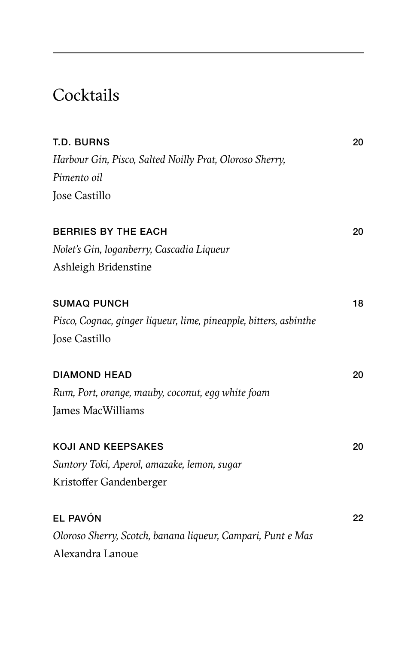# **Cocktails**

| <b>T.D. BURNS</b>                                                 | 20 |
|-------------------------------------------------------------------|----|
| Harbour Gin, Pisco, Salted Noilly Prat, Oloroso Sherry,           |    |
| Pimento oil                                                       |    |
| Jose Castillo                                                     |    |
| <b>BERRIES BY THE EACH</b>                                        | 20 |
| Nolet's Gin, loganberry, Cascadia Liqueur                         |    |
| Ashleigh Bridenstine                                              |    |
| <b>SUMAQ PUNCH</b>                                                | 18 |
| Pisco, Cognac, ginger liqueur, lime, pineapple, bitters, asbinthe |    |
| Jose Castillo                                                     |    |
| <b>DIAMOND HEAD</b>                                               | 20 |
| Rum, Port, orange, mauby, coconut, egg white foam                 |    |
| James MacWilliams                                                 |    |
| <b>KOJI AND KEEPSAKES</b>                                         | 20 |
| Suntory Toki, Aperol, amazake, lemon, sugar                       |    |
| Kristoffer Gandenberger                                           |    |
| EL PAVÓN                                                          | 22 |
| Oloroso Sherry, Scotch, banana liqueur, Campari, Punt e Mas       |    |
| Alexandra Lanoue                                                  |    |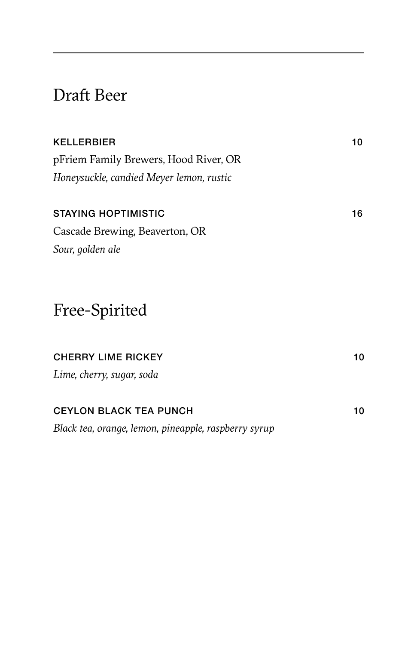## Draft Beer

| <b>KELLERBIER</b>                                    | 10 |
|------------------------------------------------------|----|
| pFriem Family Brewers, Hood River, OR                |    |
| Honeysuckle, candied Meyer lemon, rustic             |    |
| <b>STAYING HOPTIMISTIC</b>                           | 16 |
| Cascade Brewing, Beaverton, OR                       |    |
| Sour, golden ale                                     |    |
| Free-Spirited                                        |    |
| <b>CHERRY LIME RICKEY</b>                            | 10 |
| Lime, cherry, sugar, soda                            |    |
| <b>CEYLON BLACK TEA PUNCH</b>                        | 10 |
| Black tea, orange, lemon, pineapple, raspberry syrup |    |
|                                                      |    |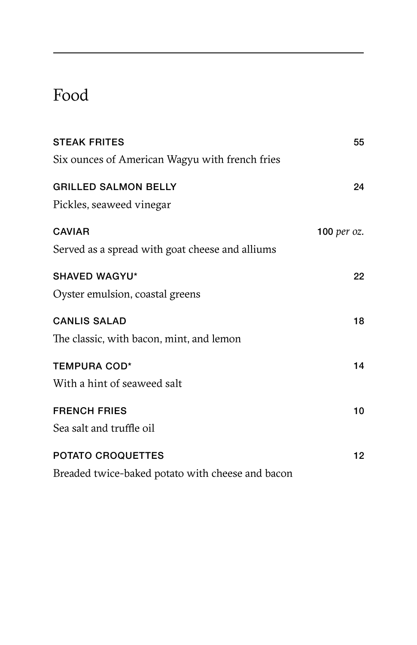# Food

| <b>STEAK FRITES</b>                              | 55                 |
|--------------------------------------------------|--------------------|
| Six ounces of American Wagyu with french fries   |                    |
| <b>GRILLED SALMON BELLY</b>                      | 24                 |
| Pickles, seaweed vinegar                         |                    |
| <b>CAVIAR</b>                                    | <b>100</b> per oz. |
| Served as a spread with goat cheese and alliums  |                    |
| <b>SHAVED WAGYU*</b>                             | 22                 |
| Oyster emulsion, coastal greens                  |                    |
| <b>CANLIS SALAD</b>                              | 18                 |
| The classic, with bacon, mint, and lemon         |                    |
| <b>TEMPURA COD*</b>                              | 14                 |
| With a hint of seaweed salt                      |                    |
| <b>FRENCH FRIES</b>                              | 10                 |
| Sea salt and truffle oil                         |                    |
| <b>POTATO CROQUETTES</b>                         | 12                 |
| Breaded twice-baked potato with cheese and bacon |                    |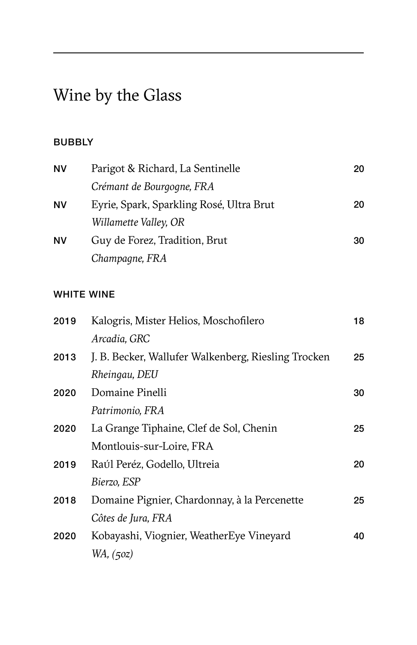# Wine by the Glass

## BUBBLY

| <b>NV</b> | Parigot & Richard, La Sentinelle         | 20 |
|-----------|------------------------------------------|----|
|           | Crémant de Bourgogne, FRA                |    |
| ΝV        | Eyrie, Spark, Sparkling Rosé, Ultra Brut | 20 |
|           | Willamette Valley, OR                    |    |
| <b>NV</b> | Guy de Forez, Tradition, Brut            | 30 |
|           | Champagne, FRA                           |    |

## WHITE WINE

| 2019 | Kalogris, Mister Helios, Moschofilero               | 18 |
|------|-----------------------------------------------------|----|
|      | Arcadia, GRC                                        |    |
| 2013 | J. B. Becker, Wallufer Walkenberg, Riesling Trocken | 25 |
|      | Rheingau, DEU                                       |    |
| 2020 | Domaine Pinelli                                     | 30 |
|      | Patrimonio, FRA                                     |    |
| 2020 | La Grange Tiphaine, Clef de Sol, Chenin             | 25 |
|      | Montlouis-sur-Loire, FRA                            |    |
| 2019 | Raúl Peréz, Godello, Ultreia                        | 20 |
|      | Bierzo, ESP                                         |    |
| 2018 | Domaine Pignier, Chardonnay, à la Percenette        | 25 |
|      | Côtes de Jura, FRA                                  |    |
| 2020 | Kobayashi, Viognier, WeatherEye Vineyard            | 40 |
|      | WA, (50z)                                           |    |
|      |                                                     |    |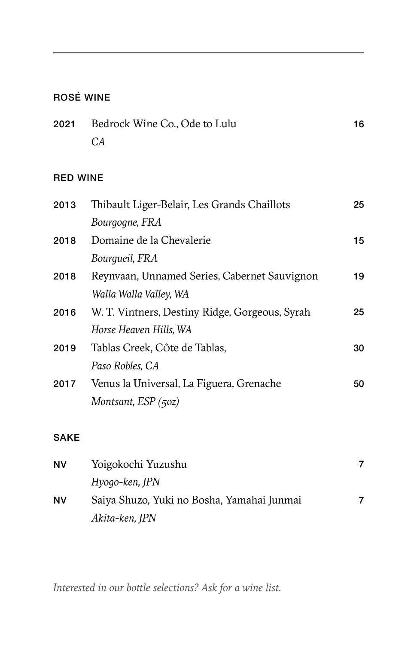## ROSÉ WINE

| 2021 Bedrock Wine Co., Ode to Lulu | 16 |
|------------------------------------|----|
| CА                                 |    |

## RED WINE

| Thibault Liger-Belair, Les Grands Chaillots    | 25 |
|------------------------------------------------|----|
| Bourgogne, FRA                                 |    |
| Domaine de la Chevalerie                       | 15 |
| Bourqueil, FRA                                 |    |
| Reynvaan, Unnamed Series, Cabernet Sauvignon   | 19 |
| Walla Walla Valley, WA                         |    |
| W. T. Vintners, Destiny Ridge, Gorgeous, Syrah | 25 |
| Horse Heaven Hills, WA                         |    |
| Tablas Creek, Côte de Tablas,                  | 30 |
| Paso Robles, CA                                |    |
| Venus la Universal, La Figuera, Grenache       | 50 |
| Montsant, $ESP(50z)$                           |    |
|                                                |    |

### SAKE

| <b>NV</b> | Yoigokochi Yuzushu                         |  |
|-----------|--------------------------------------------|--|
|           | Hyogo-ken, JPN                             |  |
| <b>NV</b> | Saiya Shuzo, Yuki no Bosha, Yamahai Junmai |  |
|           | Akita-ken, JPN                             |  |

*Interested in our bottle selections? Ask for a wine list.*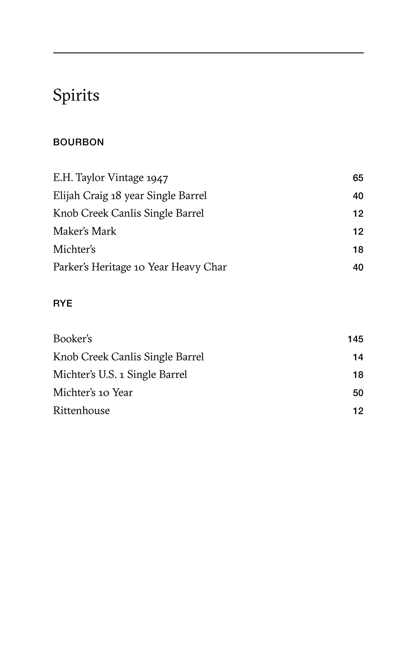# Spirits

## BOURBON

| E.H. Taylor Vintage 1947             | 65 |
|--------------------------------------|----|
| Elijah Craig 18 year Single Barrel   | 40 |
| Knob Creek Canlis Single Barrel      | 12 |
| Maker's Mark                         | 12 |
| Michter's                            | 18 |
| Parker's Heritage 10 Year Heavy Char | 40 |

## RYE

| Booker's                        | 145. |
|---------------------------------|------|
| Knob Creek Canlis Single Barrel | 14   |
| Michter's U.S. 1 Single Barrel  | 18   |
| Michter's 10 Year               | 50   |
| Rittenhouse                     | 12.  |
|                                 |      |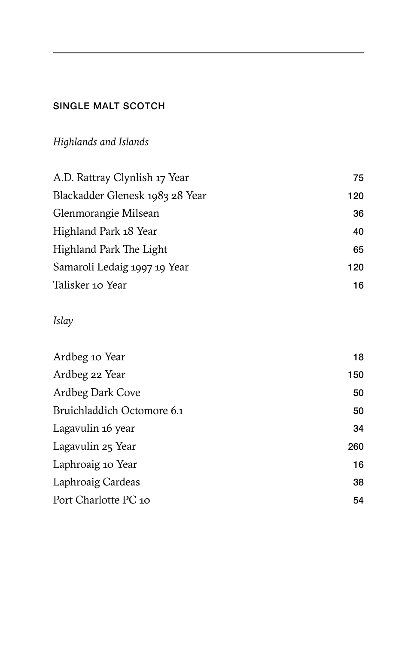## SINGLE MALT SCOTCH

## *Highlands and Islands*

| A.D. Rattray Clynlish 17 Year   | 75  |
|---------------------------------|-----|
| Blackadder Glenesk 1983 28 Year | 120 |
| Glenmorangie Milsean            | 36  |
| Highland Park 18 Year           | 40  |
| Highland Park The Light         | 65  |
| Samaroli Ledaig 1997 19 Year    | 120 |
| Talisker 10 Year                | 16  |

## *Islay*

| Ardbeg 10 Year             | 18  |
|----------------------------|-----|
| Ardbeg 22 Year             | 150 |
| Ardbeg Dark Cove           | 50  |
| Bruichladdich Octomore 6.1 | 50  |
| Lagavulin 16 year          | 34  |
| Lagavulin 25 Year          | 260 |
| Laphroaig 10 Year          | 16  |
| Laphroaig Cardeas          | 38  |
| Port Charlotte PC 10       | 54  |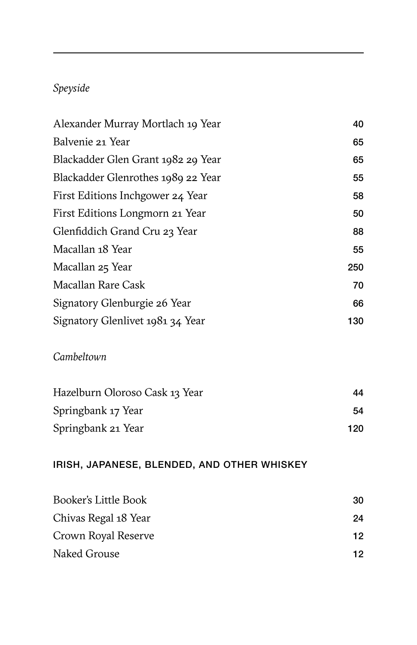## *Speyside*

| Alexander Murray Mortlach 19 Year  | 40  |
|------------------------------------|-----|
| Balvenie 21 Year                   | 65  |
| Blackadder Glen Grant 1982 29 Year | 65  |
| Blackadder Glenrothes 1989 22 Year | 55  |
| First Editions Inchgower 24 Year   | 58  |
| First Editions Longmorn 21 Year    | 50  |
| Glenfiddich Grand Cru 23 Year      | 88  |
| Macallan 18 Year                   | 55  |
| Macallan 25 Year                   | 250 |
| Macallan Rare Cask                 | 70  |
| Signatory Glenburgie 26 Year       | 66  |
| Signatory Glenlivet 1981 34 Year   | 130 |
|                                    |     |

## *Cambeltown*

| Hazelburn Oloroso Cask 13 Year | 44  |
|--------------------------------|-----|
| Springbank 17 Year             | 54  |
| Springbank 21 Year             | 120 |

## IRISH, JAPANESE, BLENDED, AND OTHER WHISKEY

| Booker's Little Book | 30 |
|----------------------|----|
| Chivas Regal 18 Year | 24 |
| Crown Royal Reserve  | 12 |
| Naked Grouse         | 12 |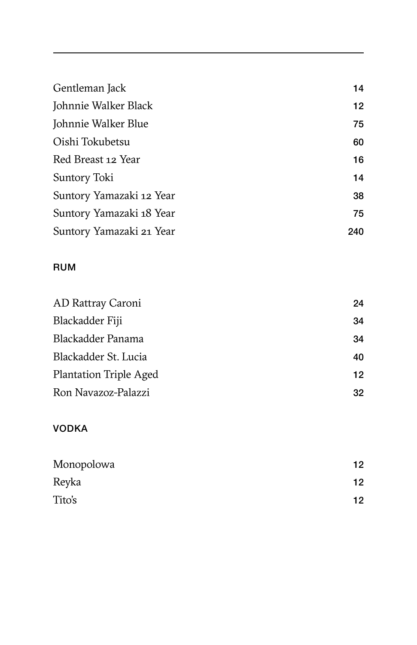| Gentleman Jack           | 14  |
|--------------------------|-----|
| Johnnie Walker Black     | 12  |
| Johnnie Walker Blue      | 75  |
| Oishi Tokubetsu          | 60  |
| Red Breast 12 Year       | 16  |
| Suntory Toki             | 14  |
| Suntory Yamazaki 12 Year | 38  |
| Suntory Yamazaki 18 Year | 75  |
| Suntory Yamazaki 21 Year | 240 |

### RUM

| AD Rattray Caroni      | 24 |
|------------------------|----|
| Blackadder Fiji        | 34 |
| Blackadder Panama      | 34 |
| Blackadder St. Lucia   | 40 |
| Plantation Triple Aged | 12 |
| Ron Navazoz-Palazzi    | 32 |

## VODKA

| Monopolowa | 12 |
|------------|----|
| Reyka      | 12 |
| Tito's     | 12 |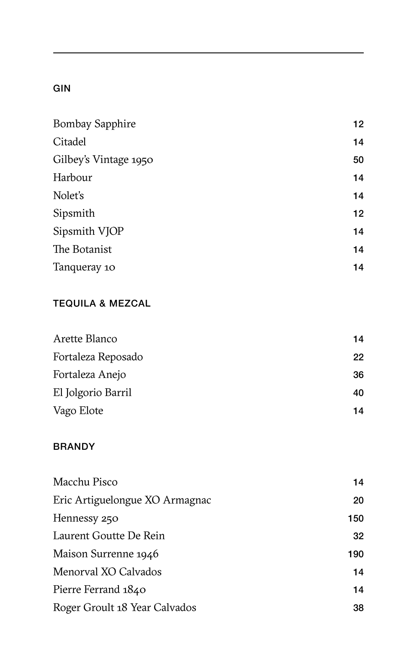### GIN

| <b>Bombay Sapphire</b> | 12 |
|------------------------|----|
| Citadel                | 14 |
| Gilbey's Vintage 1950  | 50 |
| Harbour                | 14 |
| Nolet's                | 14 |
| Sipsmith               | 12 |
| Sipsmith VJOP          | 14 |
| The Botanist           | 14 |
| Tanqueray 10           | 14 |

### TEQUILA & MEZCAL

| 14 |
|----|
| 22 |
| 36 |
| 40 |
| 14 |
|    |

#### **BRANDY**

| Macchu Pisco                   | 14  |
|--------------------------------|-----|
| Eric Artiguelongue XO Armagnac | 20  |
| Hennessy 250                   | 150 |
| Laurent Goutte De Rein         | 32  |
| Maison Surrenne 1946           | 190 |
| Menorval XO Calvados           | 14  |
| Pierre Ferrand 1840            | 14  |
| Roger Groult 18 Year Calvados  | 38  |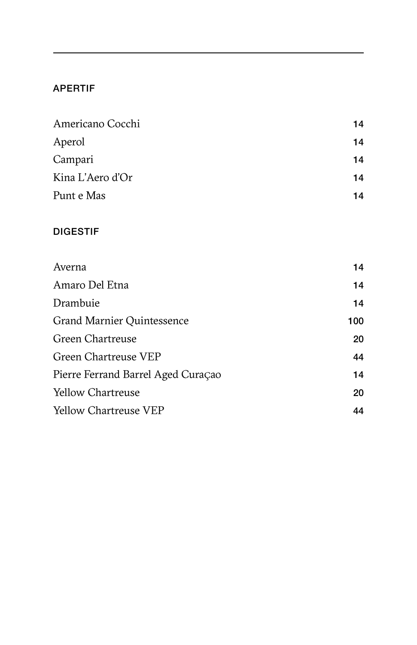#### APERTIF

| 14 |
|----|
| 14 |
| 14 |
| 14 |
| 14 |
|    |

#### DIGESTIF

| Amaro Del Etna                     | 14  |
|------------------------------------|-----|
|                                    |     |
| Drambuie                           | 14  |
| Grand Marnier Quintessence         | 100 |
| Green Chartreuse                   | 20  |
| Green Chartreuse VEP               | 44  |
| Pierre Ferrand Barrel Aged Curaçao | 14  |
| Yellow Chartreuse                  | 20  |
| Yellow Chartreuse VEP              | 44  |